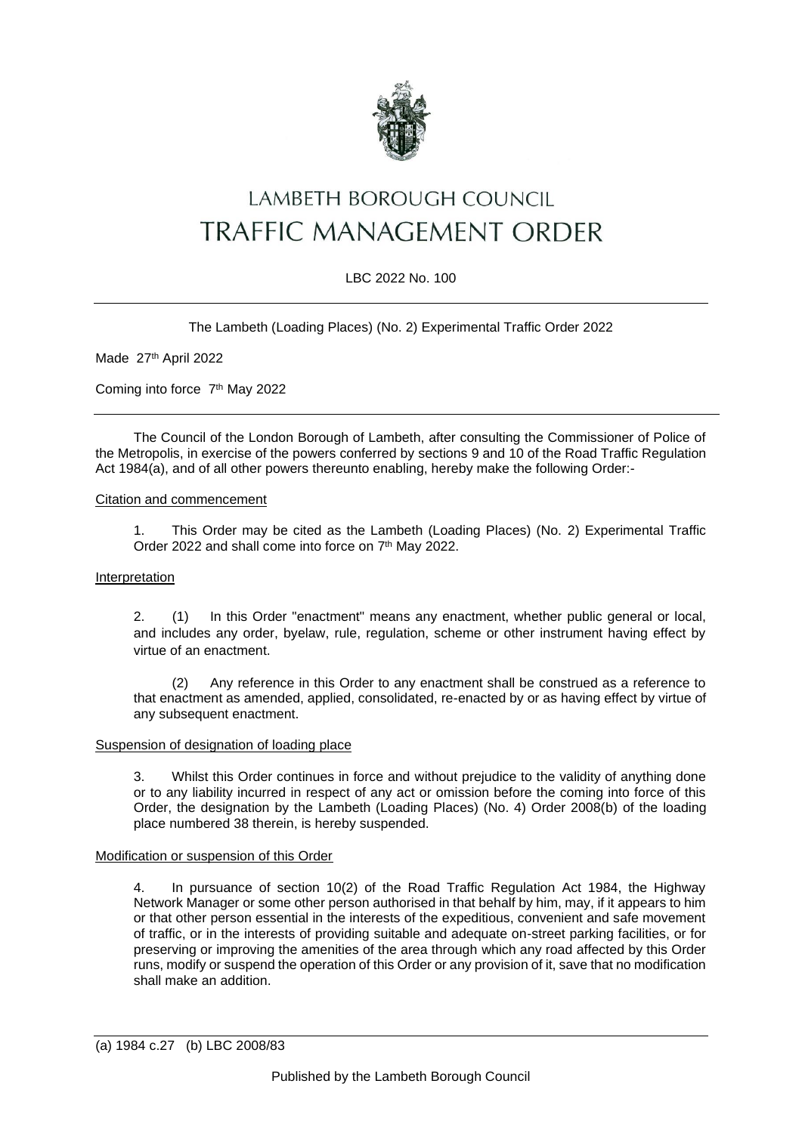

# LAMBETH BOROUGH COUNCIL TRAFFIC MANAGEMENT ORDER

## LBC 2022 No. 100

The Lambeth (Loading Places) (No. 2) Experimental Traffic Order 2022

Made 27<sup>th</sup> April 2022

Coming into force 7<sup>th</sup> May 2022

The Council of the London Borough of Lambeth, after consulting the Commissioner of Police of the Metropolis, in exercise of the powers conferred by sections 9 and 10 of the Road Traffic Regulation Act 1984(a), and of all other powers thereunto enabling, hereby make the following Order:-

#### Citation and commencement

1. This Order may be cited as the Lambeth (Loading Places) (No. 2) Experimental Traffic Order 2022 and shall come into force on 7<sup>th</sup> May 2022.

## Interpretation

2. (1) In this Order "enactment" means any enactment, whether public general or local, and includes any order, byelaw, rule, regulation, scheme or other instrument having effect by virtue of an enactment.

(2) Any reference in this Order to any enactment shall be construed as a reference to that enactment as amended, applied, consolidated, re-enacted by or as having effect by virtue of any subsequent enactment.

#### Suspension of designation of loading place

3. Whilst this Order continues in force and without prejudice to the validity of anything done or to any liability incurred in respect of any act or omission before the coming into force of this Order, the designation by the Lambeth (Loading Places) (No. 4) Order 2008(b) of the loading place numbered 38 therein, is hereby suspended.

#### Modification or suspension of this Order

4. In pursuance of section 10(2) of the Road Traffic Regulation Act 1984, the Highway Network Manager or some other person authorised in that behalf by him, may, if it appears to him or that other person essential in the interests of the expeditious, convenient and safe movement of traffic, or in the interests of providing suitable and adequate on-street parking facilities, or for preserving or improving the amenities of the area through which any road affected by this Order runs, modify or suspend the operation of this Order or any provision of it, save that no modification shall make an addition.